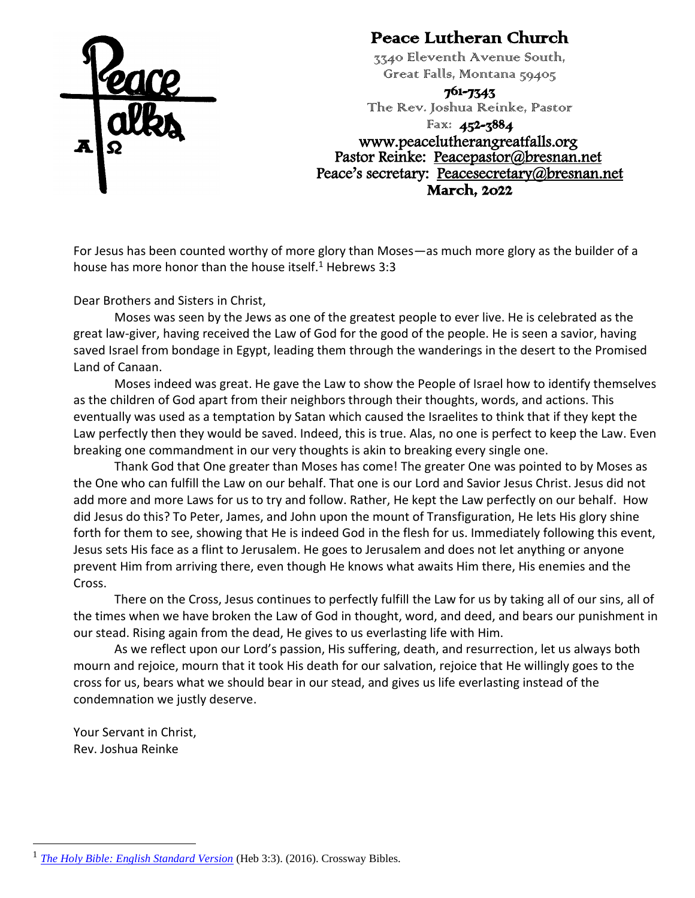

#### Peace Lutheran Church

3340 Eleventh Avenue South, Great Falls, Montana 59405

761-7343

The Rev. Joshua Reinke, Pastor

Fax: 452-3884 www.peacelutherangreatfalls.org Pastor Reinke: [Peacepastor@bresnan.net](mailto:Peacepastor@bresnan.net)  Peace's secretary: Peacesecretary@bresnan.net March, 2022

For Jesus has been counted worthy of more glory than Moses—as much more glory as the builder of a house has more honor than the house itself.<sup>1</sup> Hebrews 3:3

Dear Brothers and Sisters in Christ,

Moses was seen by the Jews as one of the greatest people to ever live. He is celebrated as the great law-giver, having received the Law of God for the good of the people. He is seen a savior, having saved Israel from bondage in Egypt, leading them through the wanderings in the desert to the Promised Land of Canaan.

Moses indeed was great. He gave the Law to show the People of Israel how to identify themselves as the children of God apart from their neighbors through their thoughts, words, and actions. This eventually was used as a temptation by Satan which caused the Israelites to think that if they kept the Law perfectly then they would be saved. Indeed, this is true. Alas, no one is perfect to keep the Law. Even breaking one commandment in our very thoughts is akin to breaking every single one.

Thank God that One greater than Moses has come! The greater One was pointed to by Moses as the One who can fulfill the Law on our behalf. That one is our Lord and Savior Jesus Christ. Jesus did not add more and more Laws for us to try and follow. Rather, He kept the Law perfectly on our behalf. How did Jesus do this? To Peter, James, and John upon the mount of Transfiguration, He lets His glory shine forth for them to see, showing that He is indeed God in the flesh for us. Immediately following this event, Jesus sets His face as a flint to Jerusalem. He goes to Jerusalem and does not let anything or anyone prevent Him from arriving there, even though He knows what awaits Him there, His enemies and the Cross.

There on the Cross, Jesus continues to perfectly fulfill the Law for us by taking all of our sins, all of the times when we have broken the Law of God in thought, word, and deed, and bears our punishment in our stead. Rising again from the dead, He gives to us everlasting life with Him.

As we reflect upon our Lord's passion, His suffering, death, and resurrection, let us always both mourn and rejoice, mourn that it took His death for our salvation, rejoice that He willingly goes to the cross for us, bears what we should bear in our stead, and gives us life everlasting instead of the condemnation we justly deserve.

Your Servant in Christ, Rev. Joshua Reinke

<sup>1</sup> *[The Holy Bible: English Standard Version](https://ref.ly/logosres/esv?ref=BibleESV.Heb3.3&off=2&ctx=ll+God%E2%80%99s%EF%BB%BF2+house.+3%C2%A0~For+Jesus+has+been+c)* (Heb 3:3). (2016). Crossway Bibles.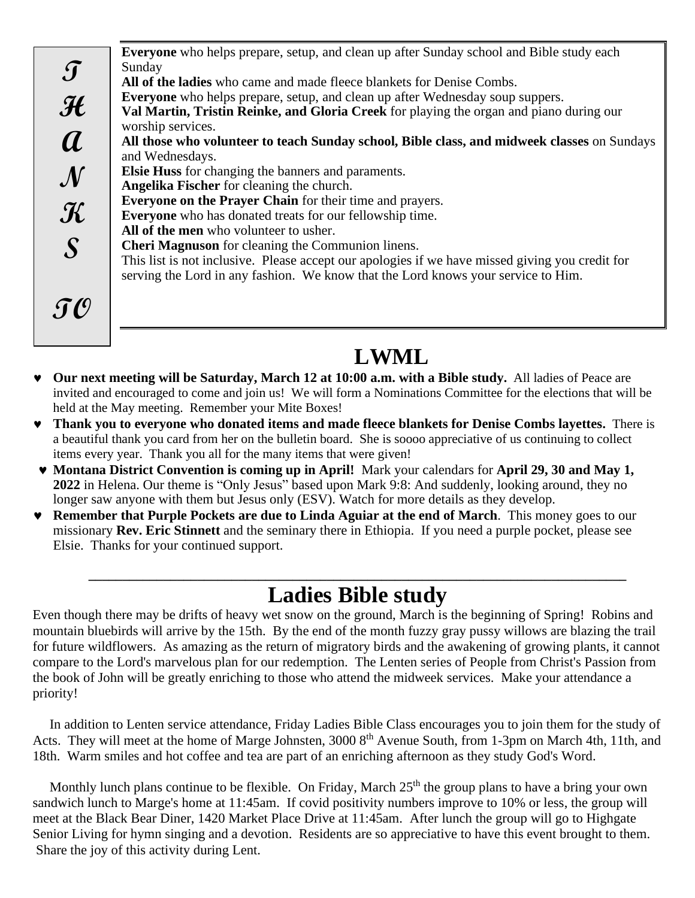**Everyone** who helps prepare, setup, and clean up after Sunday school and Bible study each Sunday **All of the ladies** who came and made fleece blankets for Denise Combs. **Everyone** who helps prepare, setup, and clean up after Wednesday soup suppers. **Val Martin, Tristin Reinke, and Gloria Creek** for playing the organ and piano during our worship services. **All those who volunteer to teach Sunday school, Bible class, and midweek classes** on Sundays and Wednesdays. **Elsie Huss** for changing the banners and paraments. **Angelika Fischer** for cleaning the church. **Everyone on the Prayer Chain** for their time and prayers. **Everyone** who has donated treats for our fellowship time. **All of the men** who volunteer to usher. **Cheri Magnuson** for cleaning the Communion linens. This list is not inclusive. Please accept our apologies if we have missed giving you credit for serving the Lord in any fashion. We know that the Lord knows your service to Him. **T H A N K S TO**

### **LWML**

- **Our next meeting will be Saturday, March 12 at 10:00 a.m. with a Bible study.** All ladies of Peace are invited and encouraged to come and join us! We will form a Nominations Committee for the elections that will be held at the May meeting. Remember your Mite Boxes!
- **Thank you to everyone who donated items and made fleece blankets for Denise Combs layettes.** There is a beautiful thank you card from her on the bulletin board. She is soooo appreciative of us continuing to collect items every year. Thank you all for the many items that were given!
- **Montana District Convention is coming up in April!** Mark your calendars for **April 29, 30 and May 1, 2022** in Helena. Our theme is "Only Jesus" based upon Mark 9:8: And suddenly, looking around, they no longer saw anyone with them but Jesus only (ESV). Watch for more details as they develop.
- **Remember that Purple Pockets are due to Linda Aguiar at the end of March**. This money goes to our missionary **Rev. Eric Stinnett** and the seminary there in Ethiopia. If you need a purple pocket, please see Elsie. Thanks for your continued support.

#### **\_\_\_\_\_\_\_\_\_\_\_\_\_\_\_\_\_\_\_\_\_\_\_\_\_\_\_\_\_\_\_\_\_\_\_\_\_\_\_\_\_\_\_\_\_\_\_\_\_\_\_\_\_\_\_\_\_\_\_\_\_\_\_\_\_\_\_\_\_\_\_\_\_\_\_\_\_\_\_ Ladies Bible study**

Even though there may be drifts of heavy wet snow on the ground, March is the beginning of Spring! Robins and mountain bluebirds will arrive by the 15th. By the end of the month fuzzy gray pussy willows are blazing the trail for future wildflowers. As amazing as the return of migratory birds and the awakening of growing plants, it cannot compare to the Lord's marvelous plan for our redemption. The Lenten series of People from Christ's Passion from the book of John will be greatly enriching to those who attend the midweek services. Make your attendance a priority!

In addition to Lenten service attendance, Friday Ladies Bible Class encourages you to join them for the study of Acts. They will meet at the home of Marge Johnsten, 3000 8<sup>th</sup> Avenue South, from 1-3pm on March 4th, 11th, and 18th. Warm smiles and hot coffee and tea are part of an enriching afternoon as they study God's Word.

Monthly lunch plans continue to be flexible. On Friday, March  $25<sup>th</sup>$  the group plans to have a bring your own sandwich lunch to Marge's home at 11:45am. If covid positivity numbers improve to 10% or less, the group will meet at the Black Bear Diner, 1420 Market Place Drive at 11:45am. After lunch the group will go to Highgate Senior Living for hymn singing and a devotion. Residents are so appreciative to have this event brought to them. Share the joy of this activity during Lent.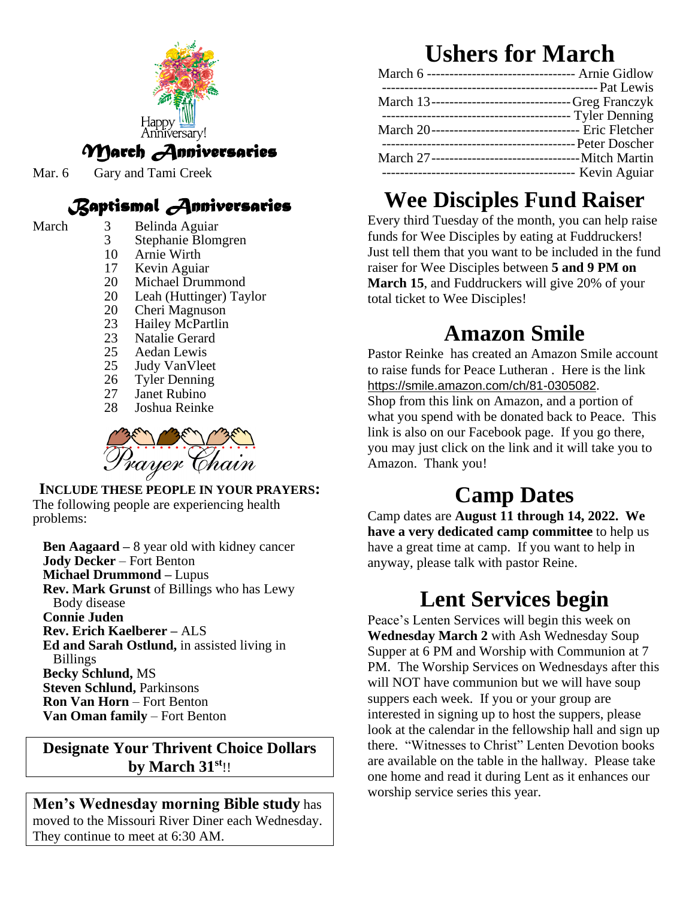

Mar. 6 Gary and Tami Creek

### *Baptismal Anniversaries*

#### March 3 Belinda Aguiar

- 3 Stephanie Blomgren
- 
- 10 Arnie Wirth<br>17 Kevin Aguia Kevin Aguiar
- 20 Michael Drummond
- 20 Leah (Huttinger) Taylor
- 20 Cheri Magnuson<br>23 Hailey McPartlin
- 23 Hailey McPartlin<br>23 Natalie Gerard
- Natalie Gerard
- 25 Aedan Lewis
- 25 Judy VanVleet
- 26 Tyler Denning<br>27 Janet Rubino
- Janet Rubino
- 28 Joshua Reinke



**INCLUDE THESE PEOPLE IN YOUR PRAYERS:** The following people are experiencing health problems:

**Ben Aagaard –** 8 year old with kidney cancer **Jody Decker** – Fort Benton **Michael Drummond –** Lupus **Rev. Mark Grunst** of Billings who has Lewy Body disease **Connie Juden Rev. Erich Kaelberer –** ALS **Ed and Sarah Ostlund,** in assisted living in Billings **Becky Schlund,** MS **Steven Schlund,** Parkinsons **Ron Van Horn** – Fort Benton **Van Oman family** – Fort Benton

#### **Designate Your Thrivent Choice Dollars by March 31st**!!

**Men's Wednesday morning Bible study** has moved to the Missouri River Diner each Wednesday. They continue to meet at 6:30 AM.

# **Ushers for March**

| March 6 --------------------------------- Arnie Gidlow |
|--------------------------------------------------------|
|                                                        |
| March 13------------------------------Greg Franczyk    |
| ---------------------------------- Tyler Denning       |
|                                                        |
|                                                        |
|                                                        |
|                                                        |
|                                                        |

# **Wee Disciples Fund Raiser**

Every third Tuesday of the month, you can help raise funds for Wee Disciples by eating at Fuddruckers! Just tell them that you want to be included in the fund raiser for Wee Disciples between **5 and 9 PM on March 15**, and Fuddruckers will give 20% of your total ticket to Wee Disciples!

# **Amazon Smile**

Pastor Reinke has created an Amazon Smile account to raise funds for Peace Lutheran . Here is the link [https://smile.amazon.com/ch/81-0305082](https://www.amazon.com/gp/f.html?C=CWZK0AZZZD4W&K=38682Y5G3WJSR&M=urn:rtn:msg:20201217181543cf9367f51a0b4505a6406cef7080p0na&R=17G707FVBQ34I&T=C&U=https%3A%2F%2Fsmile.amazon.com%2Fch%2F81-0305082%3Fref_%3Dpe_1723670_203812010&H=XTAMXORK3EJTMKAA1PP8JESEWTKA&ref_=pe_1723670_203812010). Shop from this link on Amazon, and a portion of what you spend with be donated back to Peace. This link is also on our Facebook page. If you go there, you may just click on the link and it will take you to Amazon. Thank you!

## **Camp Dates**

Camp dates are **August 11 through 14, 2022. We have a very dedicated camp committee** to help us have a great time at camp. If you want to help in anyway, please talk with pastor Reine.

## **Lent Services begin**

Peace's Lenten Services will begin this week on **Wednesday March 2** with Ash Wednesday Soup Supper at 6 PM and Worship with Communion at 7 PM. The Worship Services on Wednesdays after this will NOT have communion but we will have soup suppers each week. If you or your group are interested in signing up to host the suppers, please look at the calendar in the fellowship hall and sign up there. "Witnesses to Christ" Lenten Devotion books are available on the table in the hallway. Please take one home and read it during Lent as it enhances our worship service series this year.